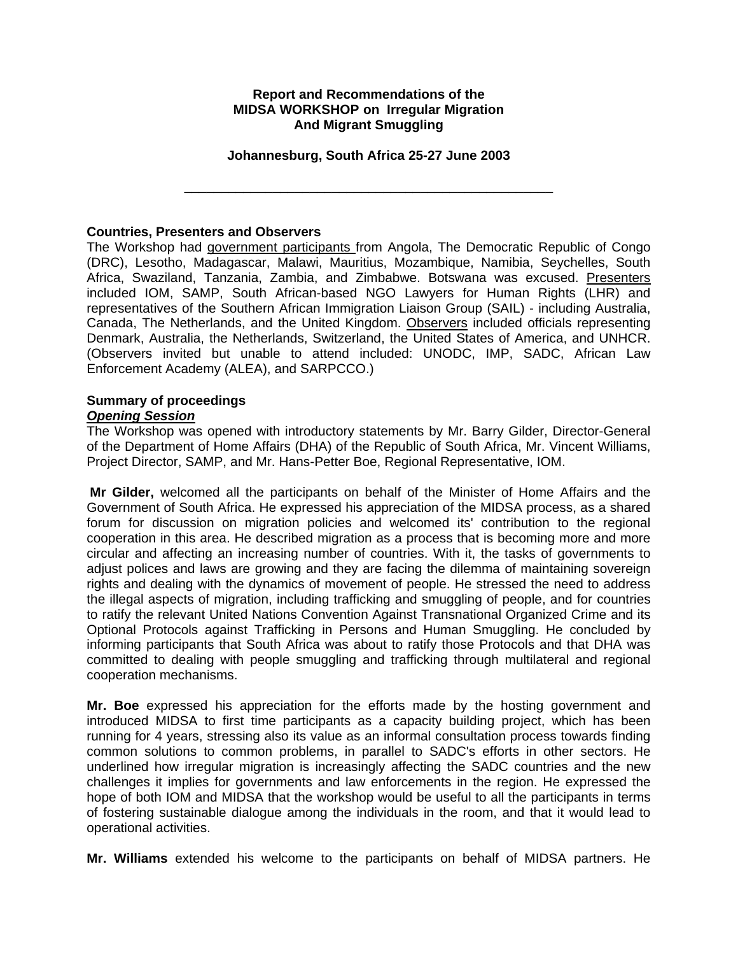#### **Report and Recommendations of the MIDSA WORKSHOP on Irregular Migration And Migrant Smuggling**

#### **Johannesburg, South Africa 25-27 June 2003**

\_\_\_\_\_\_\_\_\_\_\_\_\_\_\_\_\_\_\_\_\_\_\_\_\_\_\_\_\_\_\_\_\_\_\_\_\_\_\_\_\_\_\_\_\_\_\_\_\_\_

#### **Countries, Presenters and Observers**

The Workshop had government participants from Angola, The Democratic Republic of Congo (DRC), Lesotho, Madagascar, Malawi, Mauritius, Mozambique, Namibia, Seychelles, South Africa, Swaziland, Tanzania, Zambia, and Zimbabwe. Botswana was excused. Presenters included IOM, SAMP, South African-based NGO Lawyers for Human Rights (LHR) and representatives of the Southern African Immigration Liaison Group (SAIL) - including Australia, Canada, The Netherlands, and the United Kingdom. Observers included officials representing Denmark, Australia, the Netherlands, Switzerland, the United States of America, and UNHCR. (Observers invited but unable to attend included: UNODC, IMP, SADC, African Law Enforcement Academy (ALEA), and SARPCCO.)

### **Summary of proceedings**

### *Opening Session*

The Workshop was opened with introductory statements by Mr. Barry Gilder, Director-General of the Department of Home Affairs (DHA) of the Republic of South Africa, Mr. Vincent Williams, Project Director, SAMP, and Mr. Hans-Petter Boe, Regional Representative, IOM.

**Mr Gilder,** welcomed all the participants on behalf of the Minister of Home Affairs and the Government of South Africa. He expressed his appreciation of the MIDSA process, as a shared forum for discussion on migration policies and welcomed its' contribution to the regional cooperation in this area. He described migration as a process that is becoming more and more circular and affecting an increasing number of countries. With it, the tasks of governments to adjust polices and laws are growing and they are facing the dilemma of maintaining sovereign rights and dealing with the dynamics of movement of people. He stressed the need to address the illegal aspects of migration, including trafficking and smuggling of people, and for countries to ratify the relevant United Nations Convention Against Transnational Organized Crime and its Optional Protocols against Trafficking in Persons and Human Smuggling. He concluded by informing participants that South Africa was about to ratify those Protocols and that DHA was committed to dealing with people smuggling and trafficking through multilateral and regional cooperation mechanisms.

**Mr. Boe** expressed his appreciation for the efforts made by the hosting government and introduced MIDSA to first time participants as a capacity building project, which has been running for 4 years, stressing also its value as an informal consultation process towards finding common solutions to common problems, in parallel to SADC's efforts in other sectors. He underlined how irregular migration is increasingly affecting the SADC countries and the new challenges it implies for governments and law enforcements in the region. He expressed the hope of both IOM and MIDSA that the workshop would be useful to all the participants in terms of fostering sustainable dialogue among the individuals in the room, and that it would lead to operational activities.

**Mr. Williams** extended his welcome to the participants on behalf of MIDSA partners. He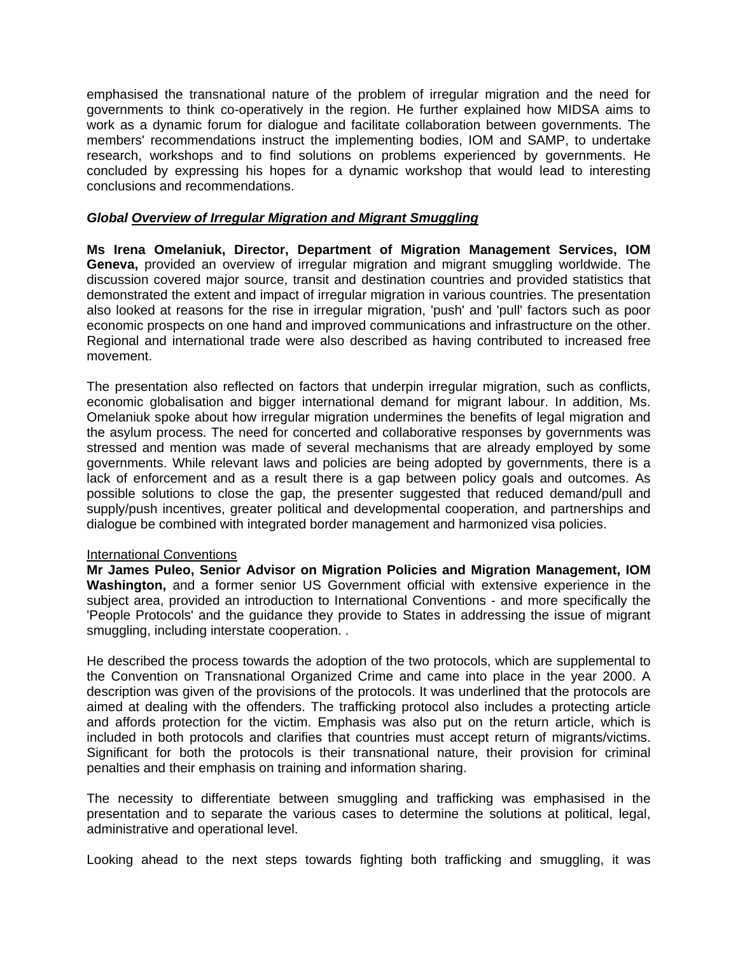emphasised the transnational nature of the problem of irregular migration and the need for governments to think co-operatively in the region. He further explained how MIDSA aims to work as a dynamic forum for dialogue and facilitate collaboration between governments. The members' recommendations instruct the implementing bodies, IOM and SAMP, to undertake research, workshops and to find solutions on problems experienced by governments. He concluded by expressing his hopes for a dynamic workshop that would lead to interesting conclusions and recommendations.

## *Global Overview of Irregular Migration and Migrant Smuggling*

**Ms Irena Omelaniuk, Director, Department of Migration Management Services, IOM Geneva,** provided an overview of irregular migration and migrant smuggling worldwide. The discussion covered major source, transit and destination countries and provided statistics that demonstrated the extent and impact of irregular migration in various countries. The presentation also looked at reasons for the rise in irregular migration, 'push' and 'pull' factors such as poor economic prospects on one hand and improved communications and infrastructure on the other. Regional and international trade were also described as having contributed to increased free movement.

The presentation also reflected on factors that underpin irregular migration, such as conflicts, economic globalisation and bigger international demand for migrant labour. In addition, Ms. Omelaniuk spoke about how irregular migration undermines the benefits of legal migration and the asylum process. The need for concerted and collaborative responses by governments was stressed and mention was made of several mechanisms that are already employed by some governments. While relevant laws and policies are being adopted by governments, there is a lack of enforcement and as a result there is a gap between policy goals and outcomes. As possible solutions to close the gap, the presenter suggested that reduced demand/pull and supply/push incentives, greater political and developmental cooperation, and partnerships and dialogue be combined with integrated border management and harmonized visa policies.

### International Conventions

**Mr James Puleo, Senior Advisor on Migration Policies and Migration Management, IOM Washington,** and a former senior US Government official with extensive experience in the subject area, provided an introduction to International Conventions - and more specifically the 'People Protocols' and the guidance they provide to States in addressing the issue of migrant smuggling, including interstate cooperation. .

He described the process towards the adoption of the two protocols, which are supplemental to the Convention on Transnational Organized Crime and came into place in the year 2000. A description was given of the provisions of the protocols. It was underlined that the protocols are aimed at dealing with the offenders. The trafficking protocol also includes a protecting article and affords protection for the victim. Emphasis was also put on the return article, which is included in both protocols and clarifies that countries must accept return of migrants/victims. Significant for both the protocols is their transnational nature, their provision for criminal penalties and their emphasis on training and information sharing.

The necessity to differentiate between smuggling and trafficking was emphasised in the presentation and to separate the various cases to determine the solutions at political, legal, administrative and operational level.

Looking ahead to the next steps towards fighting both trafficking and smuggling, it was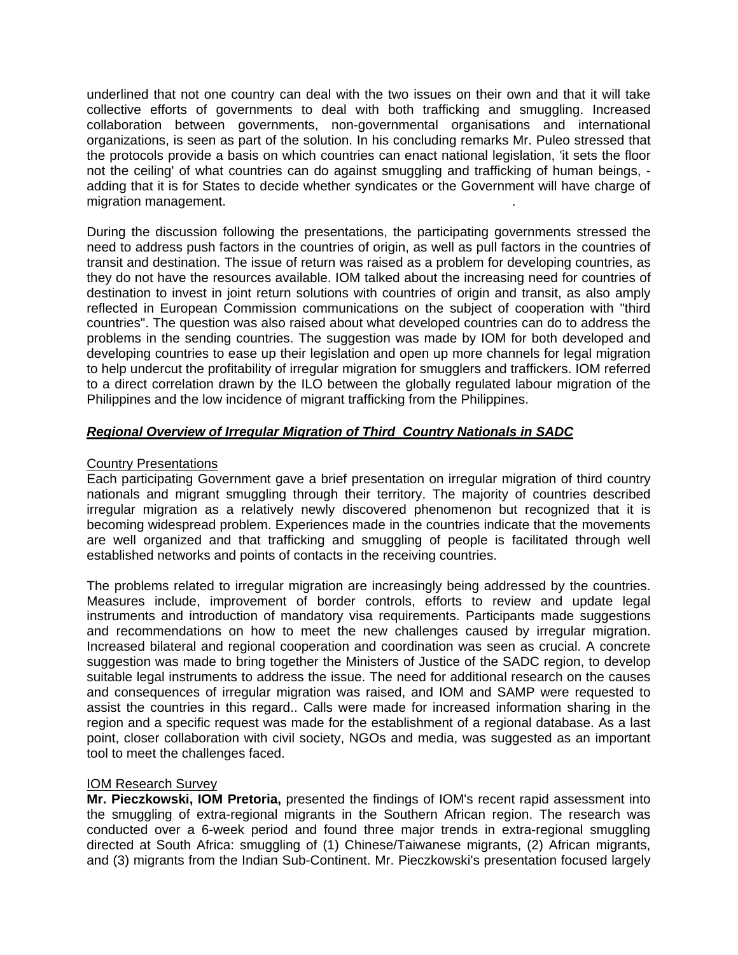underlined that not one country can deal with the two issues on their own and that it will take collective efforts of governments to deal with both trafficking and smuggling. Increased collaboration between governments, non-governmental organisations and international organizations, is seen as part of the solution. In his concluding remarks Mr. Puleo stressed that the protocols provide a basis on which countries can enact national legislation, 'it sets the floor not the ceiling' of what countries can do against smuggling and trafficking of human beings, adding that it is for States to decide whether syndicates or the Government will have charge of migration management. .

During the discussion following the presentations, the participating governments stressed the need to address push factors in the countries of origin, as well as pull factors in the countries of transit and destination. The issue of return was raised as a problem for developing countries, as they do not have the resources available. IOM talked about the increasing need for countries of destination to invest in joint return solutions with countries of origin and transit, as also amply reflected in European Commission communications on the subject of cooperation with "third countries". The question was also raised about what developed countries can do to address the problems in the sending countries. The suggestion was made by IOM for both developed and developing countries to ease up their legislation and open up more channels for legal migration to help undercut the profitability of irregular migration for smugglers and traffickers. IOM referred to a direct correlation drawn by the ILO between the globally regulated labour migration of the Philippines and the low incidence of migrant trafficking from the Philippines.

# *Regional Overview of Irregular Migration of Third Country Nationals in SADC*

# Country Presentations

Each participating Government gave a brief presentation on irregular migration of third country nationals and migrant smuggling through their territory. The majority of countries described irregular migration as a relatively newly discovered phenomenon but recognized that it is becoming widespread problem. Experiences made in the countries indicate that the movements are well organized and that trafficking and smuggling of people is facilitated through well established networks and points of contacts in the receiving countries.

The problems related to irregular migration are increasingly being addressed by the countries. Measures include, improvement of border controls, efforts to review and update legal instruments and introduction of mandatory visa requirements. Participants made suggestions and recommendations on how to meet the new challenges caused by irregular migration. Increased bilateral and regional cooperation and coordination was seen as crucial. A concrete suggestion was made to bring together the Ministers of Justice of the SADC region, to develop suitable legal instruments to address the issue. The need for additional research on the causes and consequences of irregular migration was raised, and IOM and SAMP were requested to assist the countries in this regard.. Calls were made for increased information sharing in the region and a specific request was made for the establishment of a regional database. As a last point, closer collaboration with civil society, NGOs and media, was suggested as an important tool to meet the challenges faced.

### IOM Research Survey

**Mr. Pieczkowski, IOM Pretoria,** presented the findings of IOM's recent rapid assessment into the smuggling of extra-regional migrants in the Southern African region. The research was conducted over a 6-week period and found three major trends in extra-regional smuggling directed at South Africa: smuggling of (1) Chinese/Taiwanese migrants, (2) African migrants, and (3) migrants from the Indian Sub-Continent. Mr. Pieczkowski's presentation focused largely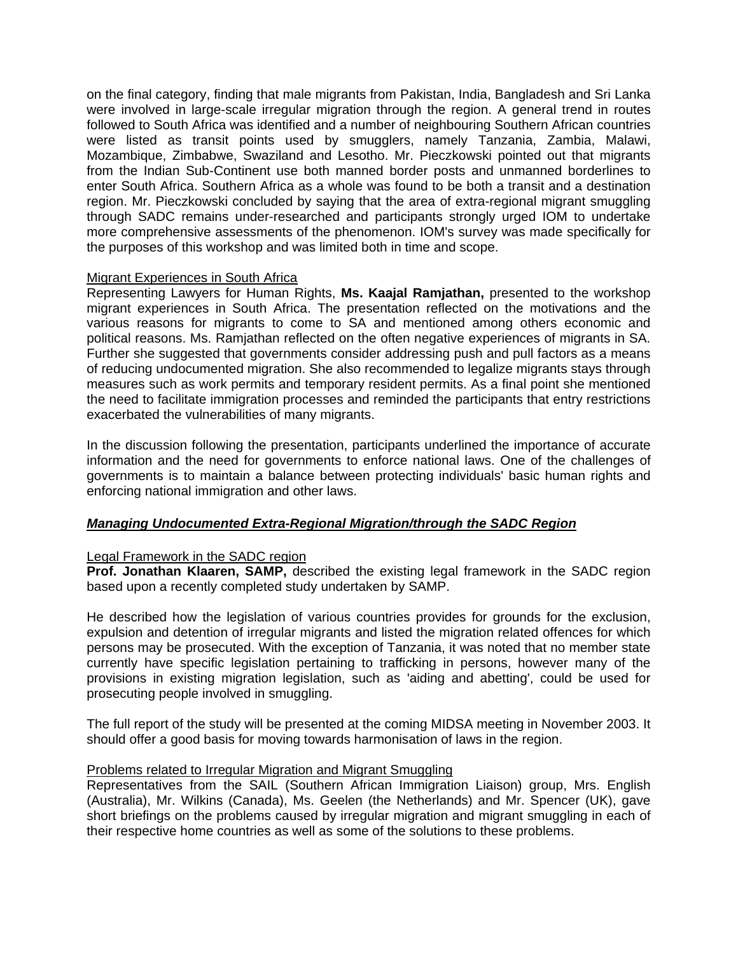on the final category, finding that male migrants from Pakistan, India, Bangladesh and Sri Lanka were involved in large-scale irregular migration through the region. A general trend in routes followed to South Africa was identified and a number of neighbouring Southern African countries were listed as transit points used by smugglers, namely Tanzania, Zambia, Malawi, Mozambique, Zimbabwe, Swaziland and Lesotho. Mr. Pieczkowski pointed out that migrants from the Indian Sub-Continent use both manned border posts and unmanned borderlines to enter South Africa. Southern Africa as a whole was found to be both a transit and a destination region. Mr. Pieczkowski concluded by saying that the area of extra-regional migrant smuggling through SADC remains under-researched and participants strongly urged IOM to undertake more comprehensive assessments of the phenomenon. IOM's survey was made specifically for the purposes of this workshop and was limited both in time and scope.

### Migrant Experiences in South Africa

Representing Lawyers for Human Rights, **Ms. Kaajal Ramjathan,** presented to the workshop migrant experiences in South Africa. The presentation reflected on the motivations and the various reasons for migrants to come to SA and mentioned among others economic and political reasons. Ms. Ramjathan reflected on the often negative experiences of migrants in SA. Further she suggested that governments consider addressing push and pull factors as a means of reducing undocumented migration. She also recommended to legalize migrants stays through measures such as work permits and temporary resident permits. As a final point she mentioned the need to facilitate immigration processes and reminded the participants that entry restrictions exacerbated the vulnerabilities of many migrants.

In the discussion following the presentation, participants underlined the importance of accurate information and the need for governments to enforce national laws. One of the challenges of governments is to maintain a balance between protecting individuals' basic human rights and enforcing national immigration and other laws.

# *Managing Undocumented Extra-Regional Migration/through the SADC Region*

### Legal Framework in the SADC region

**Prof. Jonathan Klaaren, SAMP,** described the existing legal framework in the SADC region based upon a recently completed study undertaken by SAMP.

He described how the legislation of various countries provides for grounds for the exclusion, expulsion and detention of irregular migrants and listed the migration related offences for which persons may be prosecuted. With the exception of Tanzania, it was noted that no member state currently have specific legislation pertaining to trafficking in persons, however many of the provisions in existing migration legislation, such as 'aiding and abetting', could be used for prosecuting people involved in smuggling.

The full report of the study will be presented at the coming MIDSA meeting in November 2003. It should offer a good basis for moving towards harmonisation of laws in the region.

### Problems related to Irregular Migration and Migrant Smuggling

Representatives from the SAIL (Southern African Immigration Liaison) group, Mrs. English (Australia), Mr. Wilkins (Canada), Ms. Geelen (the Netherlands) and Mr. Spencer (UK), gave short briefings on the problems caused by irregular migration and migrant smuggling in each of their respective home countries as well as some of the solutions to these problems.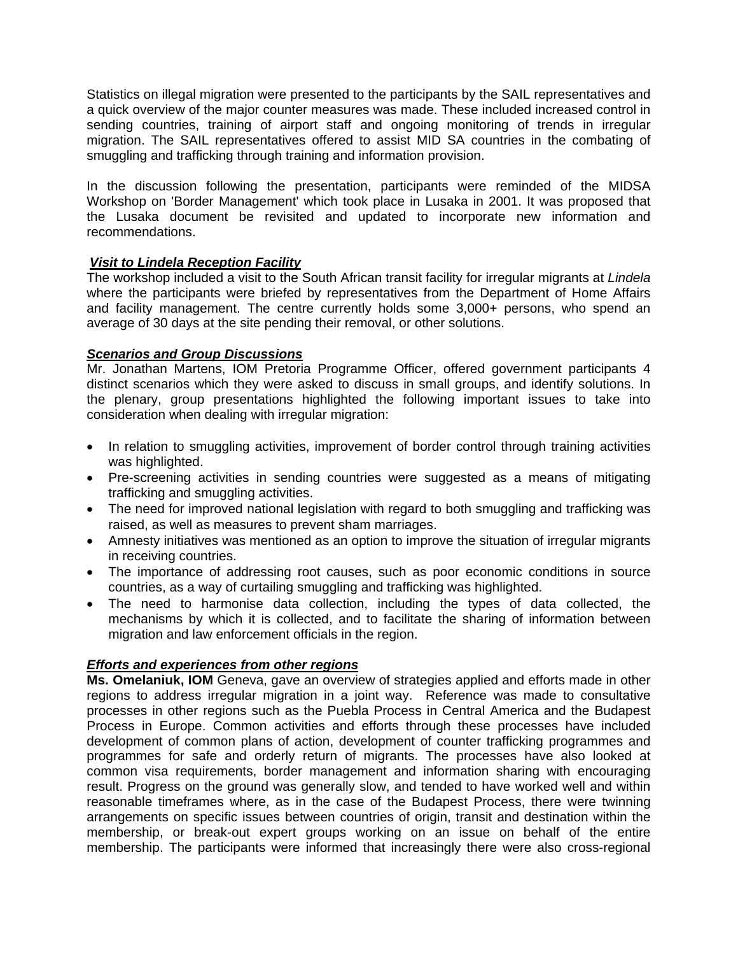Statistics on illegal migration were presented to the participants by the SAIL representatives and a quick overview of the major counter measures was made. These included increased control in sending countries, training of airport staff and ongoing monitoring of trends in irregular migration. The SAIL representatives offered to assist MID SA countries in the combating of smuggling and trafficking through training and information provision.

In the discussion following the presentation, participants were reminded of the MIDSA Workshop on 'Border Management' which took place in Lusaka in 2001. It was proposed that the Lusaka document be revisited and updated to incorporate new information and recommendations.

# *Visit to Lindela Reception Facility*

The workshop included a visit to the South African transit facility for irregular migrants at *Lindela*  where the participants were briefed by representatives from the Department of Home Affairs and facility management. The centre currently holds some 3,000+ persons, who spend an average of 30 days at the site pending their removal, or other solutions.

# *Scenarios and Group Discussions*

Mr. Jonathan Martens, IOM Pretoria Programme Officer, offered government participants 4 distinct scenarios which they were asked to discuss in small groups, and identify solutions. In the plenary, group presentations highlighted the following important issues to take into consideration when dealing with irregular migration:

- In relation to smuggling activities, improvement of border control through training activities was highlighted.
- Pre-screening activities in sending countries were suggested as a means of mitigating trafficking and smuggling activities.
- The need for improved national legislation with regard to both smuggling and trafficking was raised, as well as measures to prevent sham marriages.
- Amnesty initiatives was mentioned as an option to improve the situation of irregular migrants in receiving countries.
- The importance of addressing root causes, such as poor economic conditions in source countries, as a way of curtailing smuggling and trafficking was highlighted.
- The need to harmonise data collection, including the types of data collected, the mechanisms by which it is collected, and to facilitate the sharing of information between migration and law enforcement officials in the region.

# *Efforts and experiences from other regions*

**Ms. Omelaniuk, IOM** Geneva, gave an overview of strategies applied and efforts made in other regions to address irregular migration in a joint way. Reference was made to consultative processes in other regions such as the Puebla Process in Central America and the Budapest Process in Europe. Common activities and efforts through these processes have included development of common plans of action, development of counter trafficking programmes and programmes for safe and orderly return of migrants. The processes have also looked at common visa requirements, border management and information sharing with encouraging result. Progress on the ground was generally slow, and tended to have worked well and within reasonable timeframes where, as in the case of the Budapest Process, there were twinning arrangements on specific issues between countries of origin, transit and destination within the membership, or break-out expert groups working on an issue on behalf of the entire membership. The participants were informed that increasingly there were also cross-regional